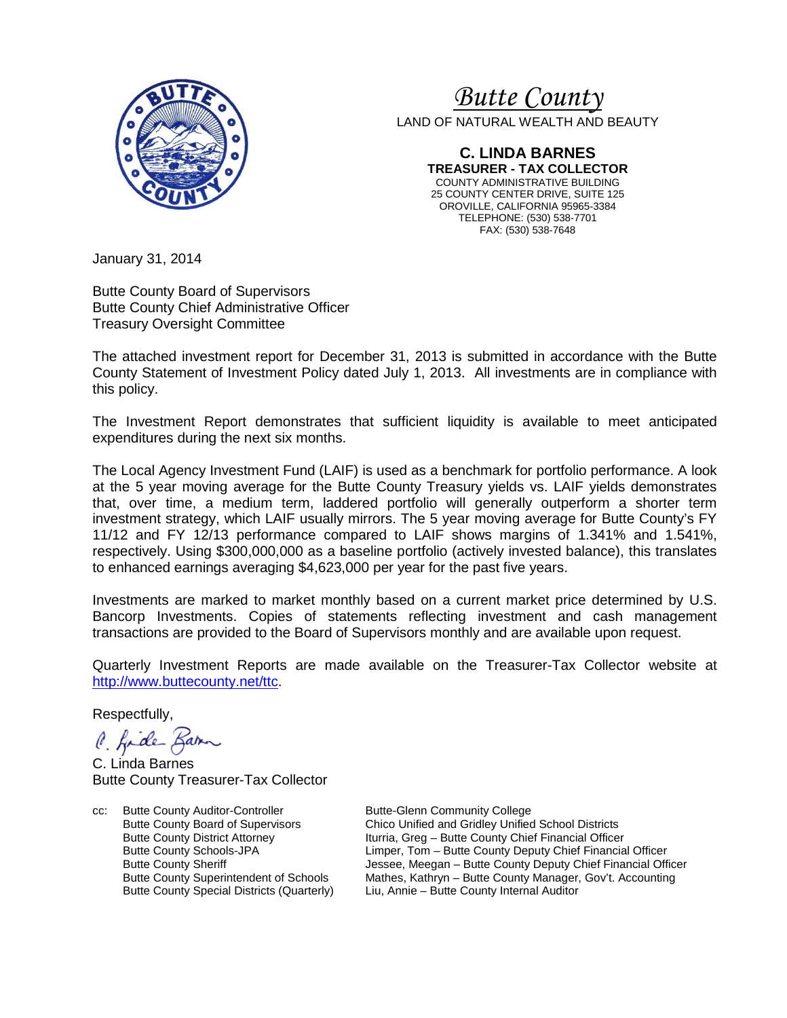

# *<sup>U</sup>Butte County*

LAND OF NATURAL WEALTH AND BEAUTY

**C. LINDA BARNES TREASURER - TAX COLLECTOR** COUNTY ADMINISTRATIVE BUILDING 25 COUNTY CENTER DRIVE, SUITE 125 OROVILLE, CALIFORNIA 95965-3384 TELEPHONE: (530) 538-7701 FAX: (530) 538-7648

January 31, 2014

Butte County Board of Supervisors Butte County Chief Administrative Officer Treasury Oversight Committee

The attached investment report for December 31, 2013 is submitted in accordance with the Butte County Statement of Investment Policy dated July 1, 2013. All investments are in compliance with this policy.

The Investment Report demonstrates that sufficient liquidity is available to meet anticipated expenditures during the next six months.

The Local Agency Investment Fund (LAIF) is used as a benchmark for portfolio performance. A look at the 5 year moving average for the Butte County Treasury yields vs. LAIF yields demonstrates that, over time, a medium term, laddered portfolio will generally outperform a shorter term investment strategy, which LAIF usually mirrors. The 5 year moving average for Butte County's FY 11/12 and FY 12/13 performance compared to LAIF shows margins of 1.341% and 1.541%, respectively. Using \$300,000,000 as a baseline portfolio (actively invested balance), this translates to enhanced earnings averaging \$4,623,000 per year for the past five years.

Investments are marked to market monthly based on a current market price determined by U.S. Bancorp Investments. Copies of statements reflecting investment and cash management transactions are provided to the Board of Supervisors monthly and are available upon request.

Quarterly Investment Reports are made available on the Treasurer-Tax Collector website at <http://www.buttecounty.net/ttc>.

Respectfully,

C. fide Barn

C. Linda Barnes Butte County Treasurer-Tax Collector

cc: Butte County Auditor-Controller Butte-Glenn Community College<br>Butte County Board of Supervisors Chico Unified and Gridley Unified

Butte County Board of Supervisors Chico Unified and Gridley Unified School Districts<br>Butte County District Attorney Iturria, Greg – Butte County Chief Financial Officer Butte County District Attorney **Iturria, Greg – Butte County Chief Financial Officer**<br>Butte County Schools-JPA **Interpret Limper, Tom – Butte County Deputy Chief Financia** Limper, Tom – Butte County Deputy Chief Financial Officer Butte County Sheriff **The County Sheriff County Sheriff County Sheriff Financial Officer**<br>Butte County Superintendent of Schools Mathes, Kathryn – Butte County Manager, Gov't. Accounting Butte County Superintendent of Schools Mathes, Kathryn – Butte County Manager, Gov't. Accounting<br>Butte County Special Districts (Quarterly) Liu, Annie – Butte County Internal Auditor Liu, Annie – Butte County Internal Auditor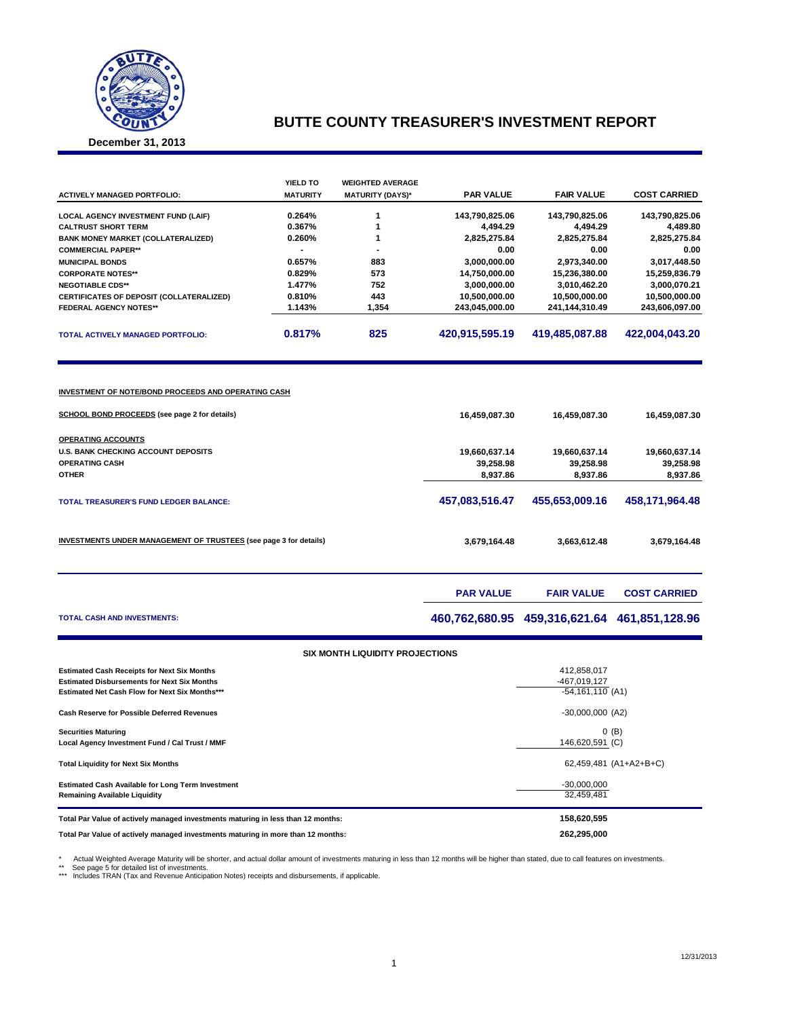

### **BUTTE COUNTY TREASURER'S INVESTMENT REPORT**

**December 31, 2013**

|                                                                                                                    | YIELD TO                 | <b>WEIGHTED AVERAGE</b>                |                                    |                                              |                      |  |
|--------------------------------------------------------------------------------------------------------------------|--------------------------|----------------------------------------|------------------------------------|----------------------------------------------|----------------------|--|
| <b>ACTIVELY MANAGED PORTFOLIO:</b>                                                                                 | <b>MATURITY</b>          | <b>MATURITY (DAYS)*</b>                | <b>PAR VALUE</b>                   | <b>FAIR VALUE</b>                            | <b>COST CARRIED</b>  |  |
| LOCAL AGENCY INVESTMENT FUND (LAIF)                                                                                | 0.264%                   | $\mathbf{1}$                           | 143,790,825.06                     | 143,790,825.06                               | 143,790,825.06       |  |
| <b>CALTRUST SHORT TERM</b>                                                                                         | 0.367%                   | 1                                      | 4,494.29                           | 4,494.29                                     | 4,489.80             |  |
| <b>BANK MONEY MARKET (COLLATERALIZED)</b>                                                                          | 0.260%<br>$\overline{a}$ | 1<br>$\overline{a}$                    | 2,825,275.84                       | 2,825,275.84                                 | 2,825,275.84         |  |
| <b>COMMERCIAL PAPER**</b><br><b>MUNICIPAL BONDS</b>                                                                | 0.657%                   | 883                                    | 0.00<br>3,000,000.00               | 0.00<br>2,973,340.00                         | 0.00<br>3,017,448.50 |  |
| <b>CORPORATE NOTES**</b>                                                                                           | 0.829%                   | 573                                    | 14,750,000.00                      | 15,236,380.00                                | 15,259,836.79        |  |
| <b>NEGOTIABLE CDS**</b>                                                                                            | 1.477%                   | 752                                    | 3,000,000.00                       | 3,010,462.20                                 | 3,000,070.21         |  |
| CERTIFICATES OF DEPOSIT (COLLATERALIZED)                                                                           | 0.810%                   | 443                                    | 10,500,000.00                      | 10,500,000.00                                | 10,500,000.00        |  |
| <b>FEDERAL AGENCY NOTES**</b>                                                                                      | 1.143%                   | 1,354                                  | 243,045,000.00                     | 241,144,310.49                               | 243,606,097.00       |  |
| TOTAL ACTIVELY MANAGED PORTFOLIO:                                                                                  | 0.817%                   | 825                                    | 420,915,595.19                     | 419,485,087.88                               | 422,004,043.20       |  |
| <b>INVESTMENT OF NOTE/BOND PROCEEDS AND OPERATING CASH</b><br><b>SCHOOL BOND PROCEEDS</b> (see page 2 for details) |                          |                                        | 16,459,087.30                      | 16,459,087.30                                | 16,459,087.30        |  |
| <b>OPERATING ACCOUNTS</b>                                                                                          |                          |                                        |                                    |                                              |                      |  |
| U.S. BANK CHECKING ACCOUNT DEPOSITS                                                                                |                          |                                        | 19,660,637.14                      | 19,660,637.14                                | 19,660,637.14        |  |
| <b>OPERATING CASH</b>                                                                                              |                          |                                        | 39,258.98                          | 39,258.98                                    | 39,258.98            |  |
| OTHER                                                                                                              |                          |                                        | 8,937.86                           | 8,937.86                                     | 8,937.86             |  |
| <b>TOTAL TREASURER'S FUND LEDGER BALANCE:</b>                                                                      |                          |                                        | 457,083,516.47                     | 455,653,009.16                               | 458,171,964.48       |  |
| <b>INVESTMENTS UNDER MANAGEMENT OF TRUSTEES</b> (see page 3 for details)                                           |                          | 3,679,164.48                           | 3,663,612.48                       | 3,679,164.48                                 |                      |  |
|                                                                                                                    |                          |                                        | <b>PAR VALUE</b>                   | <b>FAIR VALUE</b>                            | <b>COST CARRIED</b>  |  |
| TOTAL CASH AND INVESTMENTS:                                                                                        |                          |                                        |                                    | 460,762,680.95 459,316,621.64 461,851,128.96 |                      |  |
|                                                                                                                    |                          | <b>SIX MONTH LIQUIDITY PROJECTIONS</b> |                                    |                                              |                      |  |
| <b>Estimated Cash Receipts for Next Six Months</b>                                                                 |                          |                                        |                                    | 412,858,017                                  |                      |  |
| <b>Estimated Disbursements for Next Six Months</b><br>Estimated Net Cash Flow for Next Six Months***               |                          |                                        | -467,019,127<br>$-54,161,110$ (A1) |                                              |                      |  |
| <b>Cash Reserve for Possible Deferred Revenues</b>                                                                 |                          |                                        |                                    | $-30,000,000$ (A2)                           |                      |  |
| <b>Securities Maturing</b><br>Local Agency Investment Fund / Cal Trust / MMF                                       |                          | $0$ (B)<br>146,620,591 (C)             |                                    |                                              |                      |  |
| <b>Total Liquidity for Next Six Months</b>                                                                         |                          | 62,459,481 (A1+A2+B+C)                 |                                    |                                              |                      |  |
| Estimated Cash Available for Long Term Investment<br><b>Remaining Available Liquidity</b>                          |                          |                                        |                                    | $-30,000,000$<br>32,459,481                  |                      |  |
| Total Par Value of actively managed investments maturing in less than 12 months:                                   |                          |                                        |                                    | 158,620,595                                  |                      |  |
| Total Par Value of actively managed investments maturing in more than 12 months:                                   |                          | 262,295,000                            |                                    |                                              |                      |  |

\* Actual Weighted Average Maturity will be shorter, and actual dollar amount of investments maturing in less than 12 months will be higher than stated, due to call features on investments<br>\*\* See page 5 for detailed list of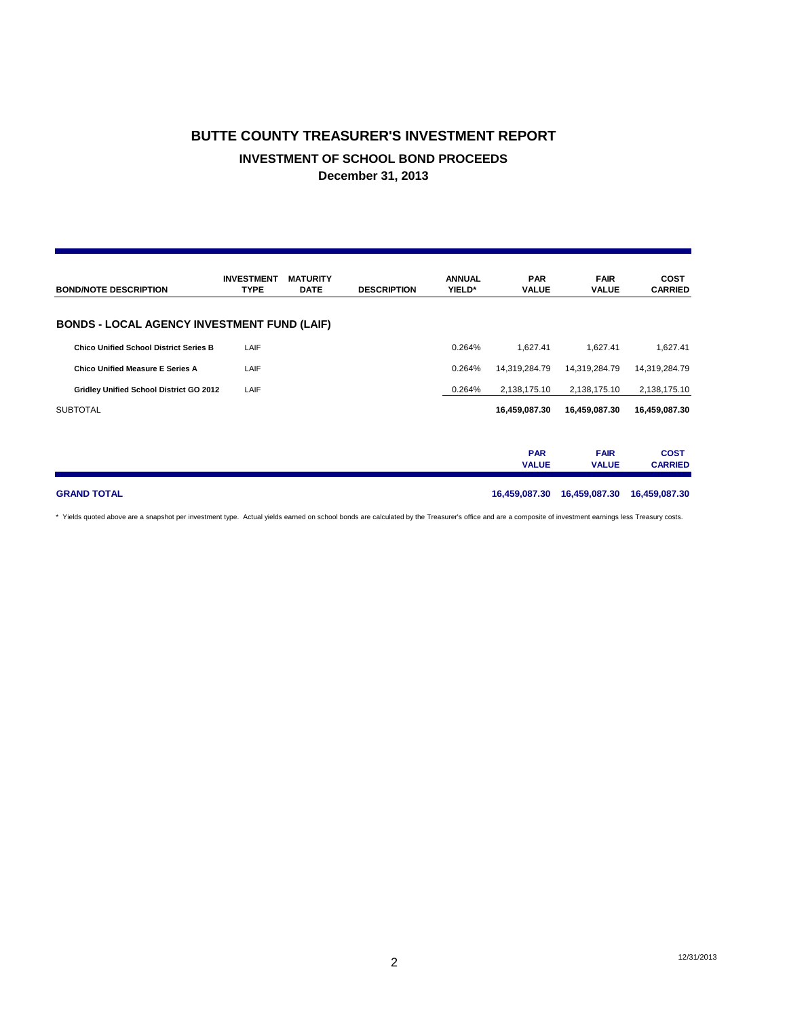## **BUTTE COUNTY TREASURER'S INVESTMENT REPORT INVESTMENT OF SCHOOL BOND PROCEEDS December 31, 2013**

| <b>BOND/NOTE DESCRIPTION</b>                       | <b>INVESTMENT</b><br><b>TYPE</b> | <b>MATURITY</b><br><b>DATE</b> | <b>DESCRIPTION</b> | <b>ANNUAL</b><br>YIELD* | <b>PAR</b><br><b>VALUE</b> | <b>FAIR</b><br><b>VALUE</b> | <b>COST</b><br><b>CARRIED</b> |
|----------------------------------------------------|----------------------------------|--------------------------------|--------------------|-------------------------|----------------------------|-----------------------------|-------------------------------|
| <b>BONDS - LOCAL AGENCY INVESTMENT FUND (LAIF)</b> |                                  |                                |                    |                         |                            |                             |                               |
| <b>Chico Unified School District Series B</b>      | LAIF                             |                                |                    | 0.264%                  | 1,627.41                   | 1,627.41                    | 1,627.41                      |
| Chico Unified Measure E Series A                   | LAIF                             |                                |                    | 0.264%                  | 14,319,284.79              | 14,319,284.79               | 14,319,284.79                 |
| Gridley Unified School District GO 2012            | LAIF                             |                                |                    | 0.264%                  | 2,138,175.10               | 2,138,175.10                | 2,138,175.10                  |
| <b>SUBTOTAL</b>                                    |                                  |                                |                    |                         | 16,459,087.30              | 16,459,087.30               | 16,459,087.30                 |
|                                                    |                                  |                                |                    |                         |                            |                             |                               |
|                                                    |                                  |                                |                    |                         | <b>PAR</b><br><b>VALUE</b> | <b>FAIR</b><br><b>VALUE</b> | <b>COST</b><br><b>CARRIED</b> |
| <b>GRAND TOTAL</b>                                 |                                  |                                |                    |                         | 16,459,087.30              | 16,459,087.30               | 16,459,087.30                 |

\* Yields quoted above are a snapshot per investment type. Actual yields earned on school bonds are calculated by the Treasurer's office and are a composite of investment earnings less Treasury costs.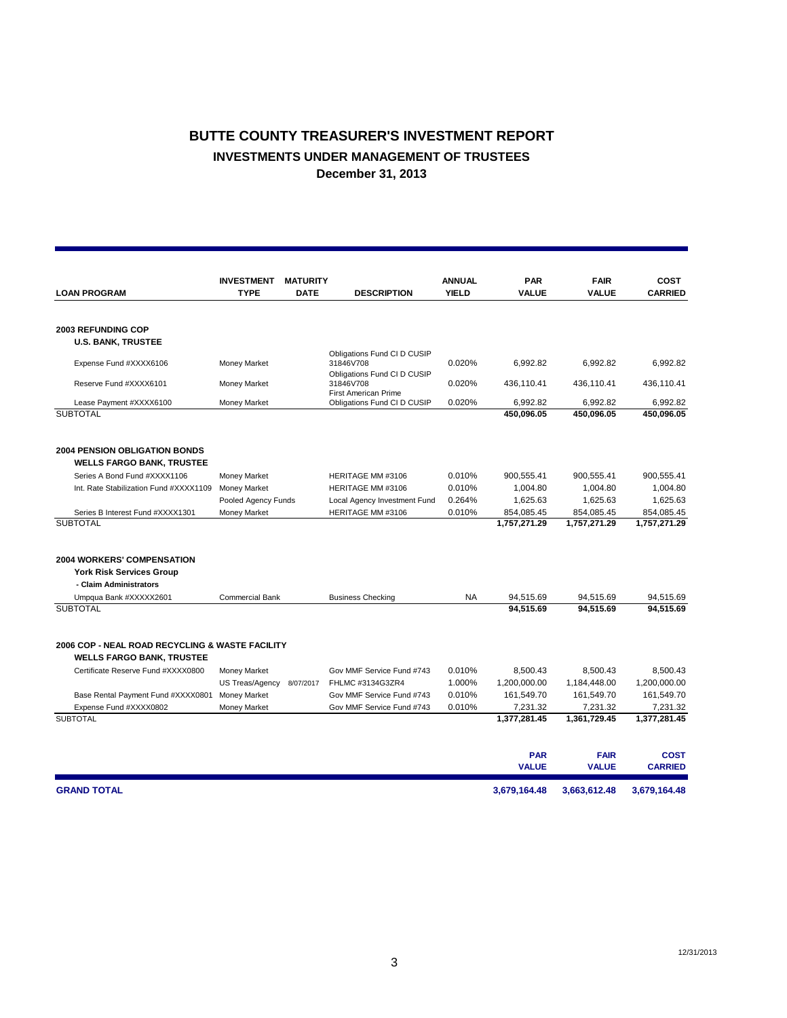## **BUTTE COUNTY TREASURER'S INVESTMENT REPORT INVESTMENTS UNDER MANAGEMENT OF TRUSTEES December 31, 2013**

|                                                                                     | <b>INVESTMENT</b>      | <b>MATURITY</b> |                                          | <b>ANNUAL</b> | <b>PAR</b>   | <b>FAIR</b>  | COST           |
|-------------------------------------------------------------------------------------|------------------------|-----------------|------------------------------------------|---------------|--------------|--------------|----------------|
| <b>TYPE</b><br><b>LOAN PROGRAM</b><br><b>DATE</b>                                   |                        |                 | <b>DESCRIPTION</b>                       | <b>YIELD</b>  | <b>VALUE</b> | VALUE        | <b>CARRIED</b> |
|                                                                                     |                        |                 |                                          |               |              |              |                |
| <b>2003 REFUNDING COP</b>                                                           |                        |                 |                                          |               |              |              |                |
| <b>U.S. BANK, TRUSTEE</b>                                                           |                        |                 |                                          |               |              |              |                |
| Expense Fund #XXXX6106                                                              | Money Market           |                 | Obligations Fund CI D CUSIP<br>31846V708 | 0.020%        | 6,992.82     | 6,992.82     | 6,992.82       |
|                                                                                     |                        |                 | Obligations Fund CI D CUSIP              |               |              |              |                |
| Reserve Fund #XXXX6101                                                              | Money Market           |                 | 31846V708<br>First American Prime        | 0.020%        | 436,110.41   | 436,110.41   | 436,110.41     |
| Lease Payment #XXXX6100                                                             | Money Market           |                 | Obligations Fund CI D CUSIP              | 0.020%        | 6,992.82     | 6,992.82     | 6,992.82       |
| <b>SUBTOTAL</b>                                                                     |                        |                 |                                          |               | 450,096.05   | 450,096.05   | 450,096.05     |
|                                                                                     |                        |                 |                                          |               |              |              |                |
| <b>2004 PENSION OBLIGATION BONDS</b>                                                |                        |                 |                                          |               |              |              |                |
| <b>WELLS FARGO BANK, TRUSTEE</b>                                                    |                        |                 |                                          |               |              |              |                |
| Series A Bond Fund #XXXX1106                                                        | Money Market           |                 | <b>HERITAGE MM #3106</b>                 | 0.010%        | 900,555.41   | 900,555.41   | 900,555.41     |
| Int. Rate Stabilization Fund #XXXX1109                                              | Money Market           |                 | HERITAGE MM #3106                        | 0.010%        | 1,004.80     | 1,004.80     | 1,004.80       |
|                                                                                     | Pooled Agency Funds    |                 | Local Agency Investment Fund             | 0.264%        | 1,625.63     | 1,625.63     | 1,625.63       |
| Series B Interest Fund #XXXX1301                                                    | Money Market           |                 | HERITAGE MM #3106                        | 0.010%        | 854,085.45   | 854,085.45   | 854,085.45     |
| <b>SUBTOTAL</b>                                                                     |                        |                 |                                          |               | 1,757,271.29 | 1,757,271.29 | 1,757,271.29   |
| <b>2004 WORKERS' COMPENSATION</b><br><b>York Risk Services Group</b>                |                        |                 |                                          |               |              |              |                |
| - Claim Administrators                                                              |                        |                 |                                          |               |              |              |                |
| Umpqua Bank #XXXXX2601                                                              | <b>Commercial Bank</b> |                 | <b>Business Checking</b>                 | NA            | 94,515.69    | 94,515.69    | 94,515.69      |
| <b>SUBTOTAL</b>                                                                     |                        |                 |                                          |               | 94.515.69    | 94.515.69    | 94.515.69      |
| 2006 COP - NEAL ROAD RECYCLING & WASTE FACILITY<br><b>WELLS FARGO BANK, TRUSTEE</b> |                        |                 |                                          |               |              |              |                |
| Certificate Reserve Fund #XXXX0800                                                  | Money Market           |                 | Gov MMF Service Fund #743                | 0.010%        | 8,500.43     | 8,500.43     | 8.500.43       |
|                                                                                     | US Treas/Agency        | 8/07/2017       | FHLMC #3134G3ZR4                         | 1.000%        | 1,200,000.00 | 1,184,448.00 | 1,200,000.00   |
| Base Rental Payment Fund #XXXX0801                                                  | <b>Money Market</b>    |                 | Gov MMF Service Fund #743                | 0.010%        | 161,549.70   | 161,549.70   | 161,549.70     |
| Expense Fund #XXXX0802                                                              | Money Market           |                 | Gov MMF Service Fund #743                | 0.010%        | 7,231.32     | 7,231.32     | 7,231.32       |
| <b>SUBTOTAL</b>                                                                     |                        |                 |                                          |               | 1,377,281.45 | 1,361,729.45 | 1,377,281.45   |
|                                                                                     |                        |                 |                                          |               | <b>PAR</b>   | <b>FAIR</b>  | <b>COST</b>    |
|                                                                                     |                        |                 |                                          |               | <b>VALUE</b> | <b>VALUE</b> | <b>CARRIED</b> |
| <b>GRAND TOTAL</b>                                                                  |                        |                 |                                          |               | 3,679,164.48 | 3,663,612.48 | 3,679,164.48   |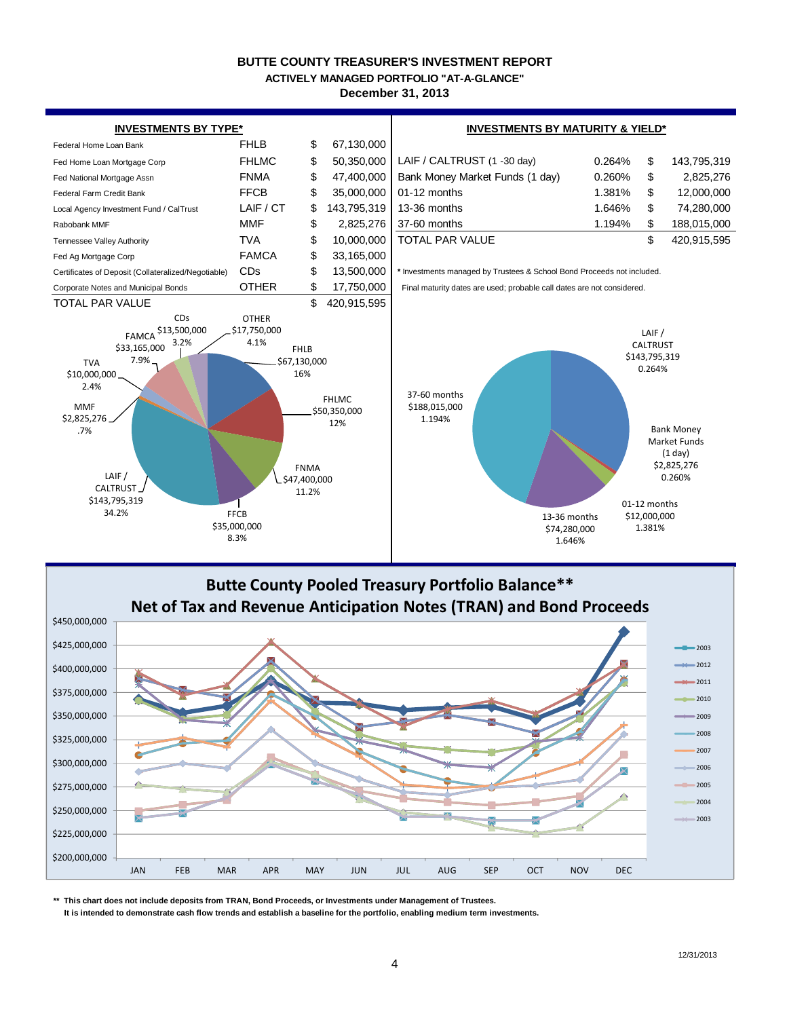#### **BUTTE COUNTY TREASURER'S INVESTMENT REPORT**

**ACTIVELY MANAGED PORTFOLIO "AT-A-GLANCE"**

**December 31, 2013**



**Butte County Pooled Treasury Portfolio Balance\*\* Net of Tax and Revenue Anticipation Notes (TRAN) and Bond Proceeds** \$450,000,000 \$425,000,000 2003 2012 \$400,000,000 2011 \$375,000,000 2010 \$350,000,000 2009 2008 \$325,000,000 2007 \$300,000,000 2006  $\times$ 2005 \$275,000,000 2004 \$250,000,000 2003 \$225,000,000 \$200,000,000 JAN FEB MAR APR MAY JUN JUL AUG SEP OCT NOV DEC

**\*\* This chart does not include deposits from TRAN, Bond Proceeds, or Investments under Management of Trustees.**

 **It is intended to demonstrate cash flow trends and establish a baseline for the portfolio, enabling medium term investments.**